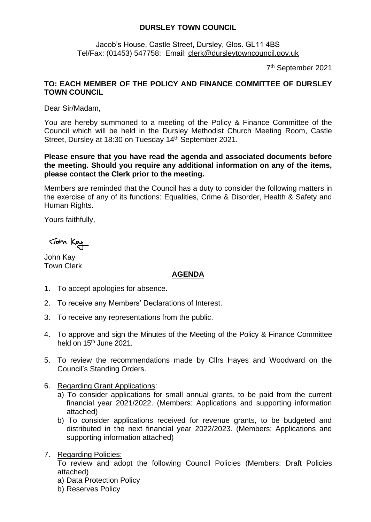## **DURSLEY TOWN COUNCIL**

Jacob's House, Castle Street, Dursley, Glos. GL11 4BS Tel/Fax: (01453) 547758: Email: [clerk@dursleytowncouncil.gov.uk](mailto:clerk@dursleytowncouncil.gov.uk)

7 th September 2021

## **TO: EACH MEMBER OF THE POLICY AND FINANCE COMMITTEE OF DURSLEY TOWN COUNCIL**

Dear Sir/Madam,

You are hereby summoned to a meeting of the Policy & Finance Committee of the Council which will be held in the Dursley Methodist Church Meeting Room, Castle Street, Dursley at 18:30 on Tuesday 14<sup>th</sup> September 2021.

## **Please ensure that you have read the agenda and associated documents before the meeting. Should you require any additional information on any of the items, please contact the Clerk prior to the meeting.**

Members are reminded that the Council has a duty to consider the following matters in the exercise of any of its functions: Equalities, Crime & Disorder, Health & Safety and Human Rights.

Yours faithfully,

John Kay

John Kay Town Clerk

## **AGENDA**

- 1. To accept apologies for absence.
- 2. To receive any Members' Declarations of Interest.
- 3. To receive any representations from the public.
- 4. To approve and sign the Minutes of the Meeting of the Policy & Finance Committee held on  $15<sup>th</sup>$  June 2021.
- 5. To review the recommendations made by Cllrs Hayes and Woodward on the Council's Standing Orders.
- 6. Regarding Grant Applications:
	- a) To consider applications for small annual grants, to be paid from the current financial year 2021/2022. (Members: Applications and supporting information attached)
	- b) To consider applications received for revenue grants, to be budgeted and distributed in the next financial year 2022/2023. (Members: Applications and supporting information attached)
- 7. Regarding Policies:

To review and adopt the following Council Policies (Members: Draft Policies attached)

- a) Data Protection Policy
- b) Reserves Policy